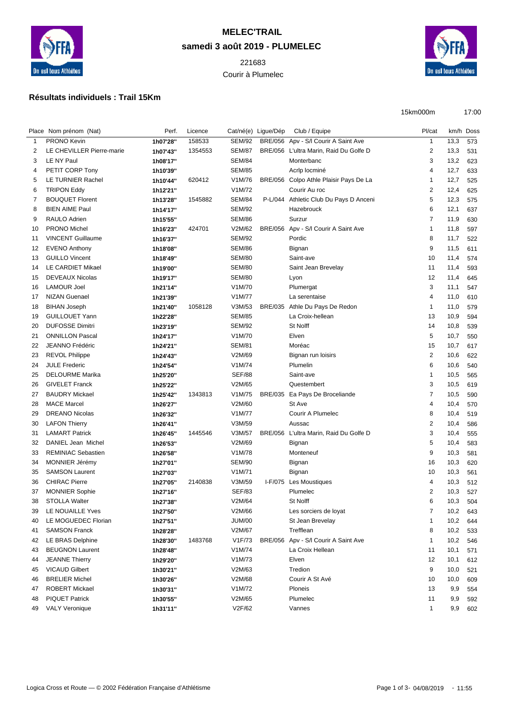

## **MELEC'TRAIL samedi 3 août 2019 - PLUMELEC**

Courir à Plumelec



15km000m 17:00

## **Résultats individuels : Trail 15Km**

|        |                                                 | Perf.    |         |                                |                     |                                        | Pl/cat                  |      | km/h Doss |
|--------|-------------------------------------------------|----------|---------|--------------------------------|---------------------|----------------------------------------|-------------------------|------|-----------|
|        | Place Nom prénom (Nat)                          |          | Licence |                                | Cat/né(e) Ligue/Dép | Club / Equipe                          |                         |      |           |
| 1<br>2 | <b>PRONO Kevin</b><br>LE CHEVILLER Pierre-marie | 1h07'28" | 158533  | <b>SEM/92</b><br><b>SEM/87</b> |                     | BRE/056 Apv - S/I Courir A Saint Ave   | $\mathbf{1}$<br>2       | 13,3 | 573       |
|        |                                                 | 1h07'43" | 1354553 |                                |                     | BRE/056 L'ultra Marin, Raid Du Golfe D |                         | 13,3 | 531       |
| 3      | LE NY Paul                                      | 1h08'17" |         | <b>SEM/84</b>                  |                     | Monterbanc                             | 3                       | 13,2 | 623       |
| 4      | PETIT CORP Tony                                 | 1h10'39" |         | <b>SEM/85</b>                  |                     | Acrip locminé                          | 4                       | 12,7 | 633       |
| 5      | LE TURNIER Rachel                               | 1h10'44" | 620412  | V1M/76                         |                     | BRE/056 Colpo Athle Plaisir Pays De La | 1                       | 12,7 | 525       |
| 6      | <b>TRIPON Eddy</b>                              | 1h12'21" |         | V1M/72                         |                     | Courir Au roc                          | $\overline{2}$          | 12,4 | 625       |
| 7      | <b>BOUQUET Florent</b>                          | 1h13'28" | 1545882 | <b>SEM/84</b>                  |                     | P-L/044 Athletic Club Du Pays D Anceni | 5                       | 12,3 | 575       |
| 8      | <b>BIEN AIME Paul</b>                           | 1h14'17" |         | <b>SEM/92</b>                  |                     | Hazebrouck                             | 6                       | 12,1 | 637       |
| 9      | RAULO Adrien                                    | 1h15'55" |         | <b>SEM/86</b>                  |                     | Surzur                                 | 7                       | 11,9 | 630       |
| 10     | PRONO Michel                                    | 1h16'23" | 424701  | V2M/62                         | <b>BRE/056</b>      | Apv - S/I Courir A Saint Ave           | 1                       | 11,8 | 597       |
| 11     | <b>VINCENT Guillaume</b>                        | 1h16'37" |         | <b>SEM/92</b>                  |                     | Pordic                                 | 8                       | 11,7 | 522       |
| 12     | <b>EVENO Anthony</b>                            | 1h18'08" |         | <b>SEM/86</b>                  |                     | Bignan                                 | 9                       | 11,5 | 611       |
| 13     | <b>GUILLO Vincent</b>                           | 1h18'49" |         | <b>SEM/80</b>                  |                     | Saint-ave                              | 10                      | 11,4 | 574       |
| 14     | LE CARDIET Mikael                               | 1h19'00" |         | <b>SEM/80</b>                  |                     | Saint Jean Brevelay                    | 11                      | 11,4 | 593       |
| 15     | <b>DEVEAUX Nicolas</b>                          | 1h19'17" |         | <b>SEM/80</b>                  |                     | Lyon                                   | 12                      | 11,4 | 645       |
| 16     | <b>LAMOUR Joel</b>                              | 1h21'14" |         | V1M/70                         |                     | Plumergat                              | 3                       | 11,1 | 547       |
| 17     | <b>NIZAN Guenael</b>                            | 1h21'39" |         | V1M/77                         |                     | La serentaise                          | 4                       | 11,0 | 610       |
| 18     | <b>BIHAN Joseph</b>                             | 1h21'40" | 1058128 | V3M/53                         |                     | BRE/035 Athle Du Pays De Redon         | 1                       | 11,0 | 579       |
| 19     | <b>GUILLOUET Yann</b>                           | 1h22'28" |         | <b>SEM/85</b>                  |                     | La Croix-hellean                       | 13                      | 10,9 | 594       |
| 20     | <b>DUFOSSE Dimitri</b>                          | 1h23'19" |         | <b>SEM/92</b>                  |                     | St Nolff                               | 14                      | 10,8 | 539       |
| 21     | <b>ONNILLON Pascal</b>                          | 1h24'17" |         | V1M/70                         |                     | Elven                                  | 5                       | 10,7 | 550       |
| 22     | <b>JEANNO Frédéric</b>                          | 1h24'21" |         | <b>SEM/81</b>                  |                     | Moréac                                 | 15                      | 10,7 | 617       |
| 23     | <b>REVOL Philippe</b>                           | 1h24'43" |         | V2M/69                         |                     | Bignan run loisirs                     | $\overline{2}$          | 10,6 | 622       |
| 24     | <b>JULE Frederic</b>                            | 1h24'54" |         | V1M/74                         |                     | Plumelin                               | 6                       | 10,6 | 540       |
| 25     | <b>DELOURME Marika</b>                          | 1h25'20" |         | <b>SEF/88</b>                  |                     | Saint-ave                              | 1                       | 10,5 | 565       |
| 26     | <b>GIVELET Franck</b>                           | 1h25'22" |         | V2M/65                         |                     | Questembert                            | 3                       | 10,5 | 619       |
| 27     | <b>BAUDRY Mickael</b>                           | 1h25'42" | 1343813 | V1M/75                         |                     | BRE/035 Ea Pays De Broceliande         | 7                       | 10,5 | 590       |
| 28     | <b>MACE Marcel</b>                              | 1h26'27" |         | V2M/60                         |                     | St Ave                                 | 4                       | 10,4 | 570       |
| 29     | <b>DREANO Nicolas</b>                           | 1h26'32" |         | V1M/77                         |                     | Courir A Plumelec                      | 8                       | 10,4 | 519       |
| 30     | <b>LAFON Thierry</b>                            | 1h26'41" |         | V3M/59                         |                     | Aussac                                 | $\overline{\mathbf{c}}$ | 10,4 | 586       |
| 31     | <b>LAMART Patrick</b>                           | 1h26'45" | 1445546 | V3M/57                         |                     | BRE/056 L'ultra Marin, Raid Du Golfe D | 3                       | 10,4 | 555       |
| 32     | DANIEL Jean Michel                              | 1h26'53" |         | V2M/69                         |                     | Bignan                                 | 5                       | 10,4 | 583       |
| 33     | <b>REMINIAC Sebastien</b>                       | 1h26'58" |         | V1M/78                         |                     | Monteneuf                              | 9                       | 10,3 | 581       |
| 34     | MONNIER Jérémy                                  | 1h27'01" |         | SEM/90                         |                     | Bignan                                 | 16                      | 10,3 | 620       |
| 35     | <b>SAMSON Laurent</b>                           | 1h27'03" |         | V1M/71                         |                     | Bignan                                 | 10                      | 10,3 | 561       |
| 36     | <b>CHIRAC Pierre</b>                            | 1h27'05" | 2140838 | V3M/59                         |                     | I-F/075 Les Moustiques                 | 4                       | 10,3 | 512       |
| 37     | <b>MONNIER Sophie</b>                           | 1h27'16" |         | <b>SEF/83</b>                  |                     | Plumelec                               | 2                       | 10,3 | 527       |
| 38     | <b>STOLLA Walter</b>                            | 1h27'38" |         | V2M/64                         |                     | St Nolff                               | 6                       | 10,3 | 504       |
| 39     | LE NOUAILLE Yves                                | 1h27'50" |         | V2M/66                         |                     | Les sorciers de loyat                  | 7                       | 10,2 | 643       |
| 40     | LE MOGUEDEC Florian                             | 1h27'51" |         | <b>JUM/00</b>                  |                     | St Jean Brevelay                       | 1                       | 10,2 | 644       |
| 41     | <b>SAMSON Franck</b>                            | 1h28'28" |         | V2M/67                         |                     | Trefflean                              | 8                       | 10,2 | 533       |
| 42     | LE BRAS Delphine                                | 1h28'30" | 1483768 | V1F/73                         |                     | BRE/056 Apv - S/I Courir A Saint Ave   | 1                       | 10,2 | 546       |
| 43     | <b>BEUGNON Laurent</b>                          | 1h28'48" |         | V1M/74                         |                     | La Croix Hellean                       | 11                      | 10,1 | 571       |
| 44     | <b>JEANNE Thierry</b>                           | 1h29'20" |         | V1M/73                         |                     | Elven                                  | 12                      | 10,1 | 612       |
| 45     | <b>VICAUD Gilbert</b>                           | 1h30'21" |         | V2M/63                         |                     | Tredion                                | 9                       | 10,0 | 521       |
| 46     | <b>BRELIER Michel</b>                           | 1h30'26" |         | V2M/68                         |                     | Courir A St Avé                        | 10                      | 10,0 | 609       |
| 47     | <b>ROBERT Mickael</b>                           | 1h30'31" |         | V1M/72                         |                     | Ploneis                                | 13                      | 9,9  | 554       |
| 48     | <b>PIQUET Patrick</b>                           | 1h30'55" |         | V2M/65                         |                     | Plumelec                               | 11                      | 9,9  | 592       |
| 49     | <b>VALY Veronique</b>                           | 1h31'11" |         | V2F/62                         |                     | Vannes                                 | $\mathbf{1}$            | 9,9  | 602       |
|        |                                                 |          |         |                                |                     |                                        |                         |      |           |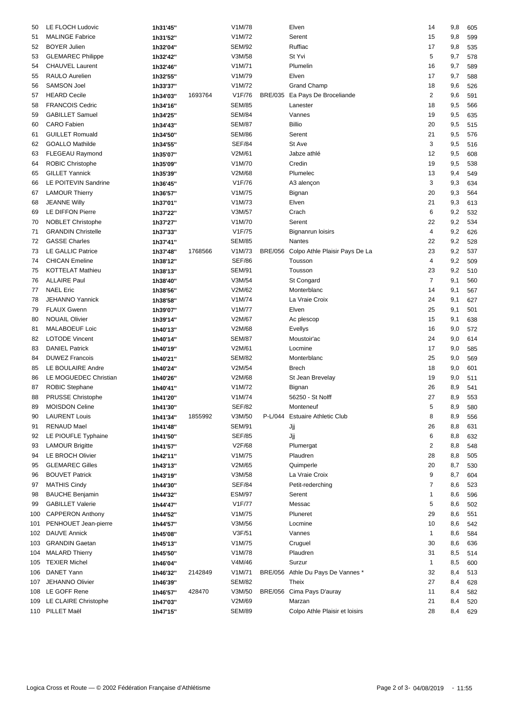| 50       | LE FLOCH Ludovic          | 1h31'45" |         | V1M/78           |                | Elven                             | 14             | 9,8        | 605        |
|----------|---------------------------|----------|---------|------------------|----------------|-----------------------------------|----------------|------------|------------|
| 51       | <b>MALINGE Fabrice</b>    | 1h31'52" |         | V1M/72           |                | Serent                            | 15             | 9,8        | 599        |
| 52       | <b>BOYER Julien</b>       | 1h32'04" |         | <b>SEM/92</b>    |                | Ruffiac                           | 17             | 9,8        | 535        |
| 53       | <b>GLEMAREC Philippe</b>  | 1h32'42" |         | V3M/58           |                | St Yvi                            | 5              | 9,7        | 578        |
| 54       | <b>CHAUVEL Laurent</b>    | 1h32'46" |         | V1M/71           |                | Plumelin                          | 16             | 9,7        | 589        |
| 55       | RAULO Aurelien            | 1h32'55" |         | V1M/79           |                | Elven                             | 17             | 9,7        | 588        |
| 56       | <b>SAMSON Joel</b>        | 1h33'37" |         | V1M/72           |                | <b>Grand Champ</b>                | 18             | 9,6        | 526        |
| 57       | <b>HEARD Cecile</b>       | 1h34'03" | 1693764 | V1F/76           | <b>BRE/035</b> | Ea Pays De Broceliande            | $\overline{2}$ | 9,6        | 591        |
| 58       | <b>FRANCOIS Cedric</b>    | 1h34'16" |         | <b>SEM/85</b>    |                | Lanester                          | 18             | 9,5        | 566        |
| 59       | <b>GABILLET Samuel</b>    | 1h34'25" |         | <b>SEM/84</b>    |                | Vannes                            | 19             | 9,5        | 635        |
| 60       | <b>CARO Fabien</b>        | 1h34'43" |         | <b>SEM/87</b>    |                | <b>Billio</b>                     | 20             | 9,5        | 515        |
| 61       | <b>GUILLET Romuald</b>    | 1h34'50" |         | <b>SEM/86</b>    |                | Serent                            | 21             | 9,5        | 576        |
| 62       | <b>GOALLO Mathilde</b>    | 1h34'55" |         | <b>SEF/84</b>    |                | St Ave                            | 3              | 9,5        | 516        |
| 63       | FLEGEAU Raymond           | 1h35'07" |         | V2M/61           |                | Jabze athlé                       | 12             | 9,5        | 608        |
| 64       | <b>ROBIC Christophe</b>   | 1h35'09" |         | V1M/70           |                | Credin                            | 19             | 9,5        | 538        |
|          | <b>GILLET Yannick</b>     |          |         |                  |                | Plumelec                          |                |            |            |
| 65<br>66 | LE POITEVIN Sandrine      | 1h35'39" |         | V2M/68<br>V1F/76 |                | A3 alençon                        | 13<br>3        | 9,4<br>9,3 | 549<br>634 |
|          |                           | 1h36'45" |         |                  |                |                                   |                |            |            |
| 67       | <b>LAMOUR Thierry</b>     | 1h36'57" |         | V1M/75           |                | Bignan                            | 20             | 9,3        | 564        |
| 68       | <b>JEANNE Willy</b>       | 1h37'01" |         | V1M/73           |                | Elven                             | 21             | 9,3        | 613        |
| 69       | LE DIFFON Pierre          | 1h37'22" |         | V3M/57           |                | Crach                             | 6              | 9,2        | 532        |
| 70       | <b>NOBLET Christophe</b>  | 1h37'27" |         | V1M/70           |                | Serent                            | 22             | 9,2        | 534        |
| 71       | <b>GRANDIN Christelle</b> | 1h37'33" |         | V1F/75           |                | <b>Bignanrun loisirs</b>          | 4              | 9,2        | 626        |
| 72       | <b>GASSE Charles</b>      | 1h37'41" |         | <b>SEM/85</b>    |                | Nantes                            | 22             | 9,2        | 528        |
| 73       | LE GALLIC Patrice         | 1h37'48" | 1768566 | V1M/73           | <b>BRE/056</b> | Colpo Athle Plaisir Pays De La    | 23             | 9,2        | 537        |
| 74       | <b>CHICAN</b> Emeline     | 1h38'12" |         | <b>SEF/86</b>    |                | Tousson                           | 4              | 9,2        | 509        |
| 75       | <b>KOTTELAT Mathieu</b>   | 1h38'13" |         | <b>SEM/91</b>    |                | Tousson                           | 23             | 9,2        | 510        |
| 76       | <b>ALLAIRE Paul</b>       | 1h38'40" |         | V3M/54           |                | St Congard                        | $\overline{7}$ | 9,1        | 560        |
| 77       | <b>NAEL Eric</b>          | 1h38'56" |         | V2M/62           |                | Monterblanc                       | 14             | 9,1        | 567        |
| 78       | <b>JEHANNO Yannick</b>    | 1h38'58" |         | V1M/74           |                | La Vraie Croix                    | 24             | 9,1        | 627        |
| 79       | <b>FLAUX Gwenn</b>        | 1h39'07" |         | V1M/77           |                | Elven                             | 25             | 9,1        | 501        |
| 80       | <b>NOUAIL Olivier</b>     | 1h39'14" |         | V2M/67           |                | Ac plescop                        | 15             | 9,1        | 638        |
| 81       | <b>MALABOEUF Loic</b>     | 1h40'13" |         | V2M/68           |                | <b>Evellys</b>                    | 16             | 9,0        | 572        |
| 82       | <b>LOTODE Vincent</b>     | 1h40'14" |         | <b>SEM/87</b>    |                | Moustoir'ac                       | 24             | 9,0        | 614        |
| 83       | <b>DANIEL Patrick</b>     | 1h40'19" |         | V2M/61           |                | Locmine                           | 17             | 9,0        | 585        |
| 84       | <b>DUWEZ Francois</b>     | 1h40'21" |         | <b>SEM/82</b>    |                | Monterblanc                       | 25             | 9,0        | 569        |
| 85       | LE BOULAIRE Andre         | 1h40'24" |         | V2M/54           |                | <b>Brech</b>                      | 18             | 9,0        | 601        |
| 86       | LE MOGUEDEC Christian     | 1h40'26" |         | V2M/68           |                | St Jean Brevelay                  | 19             | 9,0        | 511        |
| 87       | <b>ROBIC Stephane</b>     | 1h40'41" |         | V1M/72           |                | Bignan                            | 26             | 8,9        | 541        |
| 88       | <b>PRUSSE Christophe</b>  | 1h41'20" |         | V1M/74           |                | 56250 - St Nolff                  | 27             | 8,9        | 553        |
| 89       | <b>MOISDON Celine</b>     | 1h41'30" |         | <b>SEF/82</b>    |                | Monteneuf                         | 5              | 8,9 580    |            |
| 90       | <b>LAURENT Louis</b>      | 1h41'34" | 1855992 | V3M/50           |                | P-L/044 Estuaire Athletic Club    | 8              | 8,9        | 556        |
| 91       | <b>RENAUD Mael</b>        | 1h41'48" |         | <b>SEM/91</b>    |                | Jjj                               | 26             | 8,8        | 631        |
| 92       | LE PIOUFLE Typhaine       | 1h41'50" |         | <b>SEF/85</b>    |                | Jjj                               | 6              | 8,8        | 632        |
| 93       | <b>LAMOUR Brigitte</b>    | 1h41'57" |         | V2F/68           |                | Plumergat                         | 2              | 8,8        | 548        |
| 94       | LE BROCH Olivier          | 1h42'11" |         | V1M/75           |                | Plaudren                          | 28             | 8,8        | 505        |
| 95       | <b>GLEMAREC Gilles</b>    | 1h43'13" |         | V2M/65           |                | Quimperle                         | 20             | 8,7        | 530        |
| 96       | <b>BOUVET Patrick</b>     | 1h43'19" |         | V3M/58           |                | La Vraie Croix                    | 9              | 8,7        | 604        |
| 97       | <b>MATHIS Cindy</b>       | 1h44'30" |         | <b>SEF/84</b>    |                | Petit-rederching                  | 7              | 8,6        | 523        |
| 98       | <b>BAUCHE Benjamin</b>    | 1h44'32" |         | <b>ESM/97</b>    |                | Serent                            | 1              | 8,6        | 596        |
| 99       | <b>GABILLET Valerie</b>   | 1h44'47" |         | V1F/77           |                | Messac                            | 5              | 8,6        | 502        |
| 100      | <b>CAPPERON Anthony</b>   | 1h44'52" |         | V1M/75           |                | Pluneret                          | 29             | 8,6        | 551        |
| 101      | PENHOUET Jean-pierre      |          |         | V3M/56           |                | Locmine                           | 10             | 8,6        |            |
|          | <b>DAUVE Annick</b>       | 1h44'57" |         | V3F/51           |                | Vannes                            | 1              |            | 542        |
| 102      |                           | 1h45'08" |         |                  |                |                                   |                | 8,6        | 584        |
|          | 103 GRANDIN Gaetan        | 1h45'13" |         | V1M/75           |                | Cruguel                           | 30             | 8,6        | 636        |
|          | 104 MALARD Thierry        | 1h45'50" |         | V1M/78           |                | Plaudren                          | 31             | 8,5        | 514        |
|          | 105 TEXIER Michel         | 1h46'04" |         | V4M/46           |                | Surzur                            | 1              | 8,5        | 600        |
|          | 106 DANET Yann            | 1h46'32" | 2142849 | V1M/71           |                | BRE/056 Athle Du Pays De Vannes * | 32             | 8,4        | 513        |
| 107      | JEHANNO Olivier           | 1h46'39" |         | <b>SEM/82</b>    |                | Theix                             | 27             | 8,4        | 628        |
|          | 108 LE GOFF Rene          | 1h46'57" | 428470  | V3M/50           |                | BRE/056 Cima Pays D'auray         | 11             | 8,4        | 582        |
|          | 109 LE CLAIRE Christophe  | 1h47'03" |         | V2M/69           |                | Marzan                            | 21             | 8,4        | 520        |
|          | 110 PILLET Maël           | 1h47'15" |         | <b>SEM/89</b>    |                | Colpo Athle Plaisir et loisirs    | 28             | 8,4        | 629        |